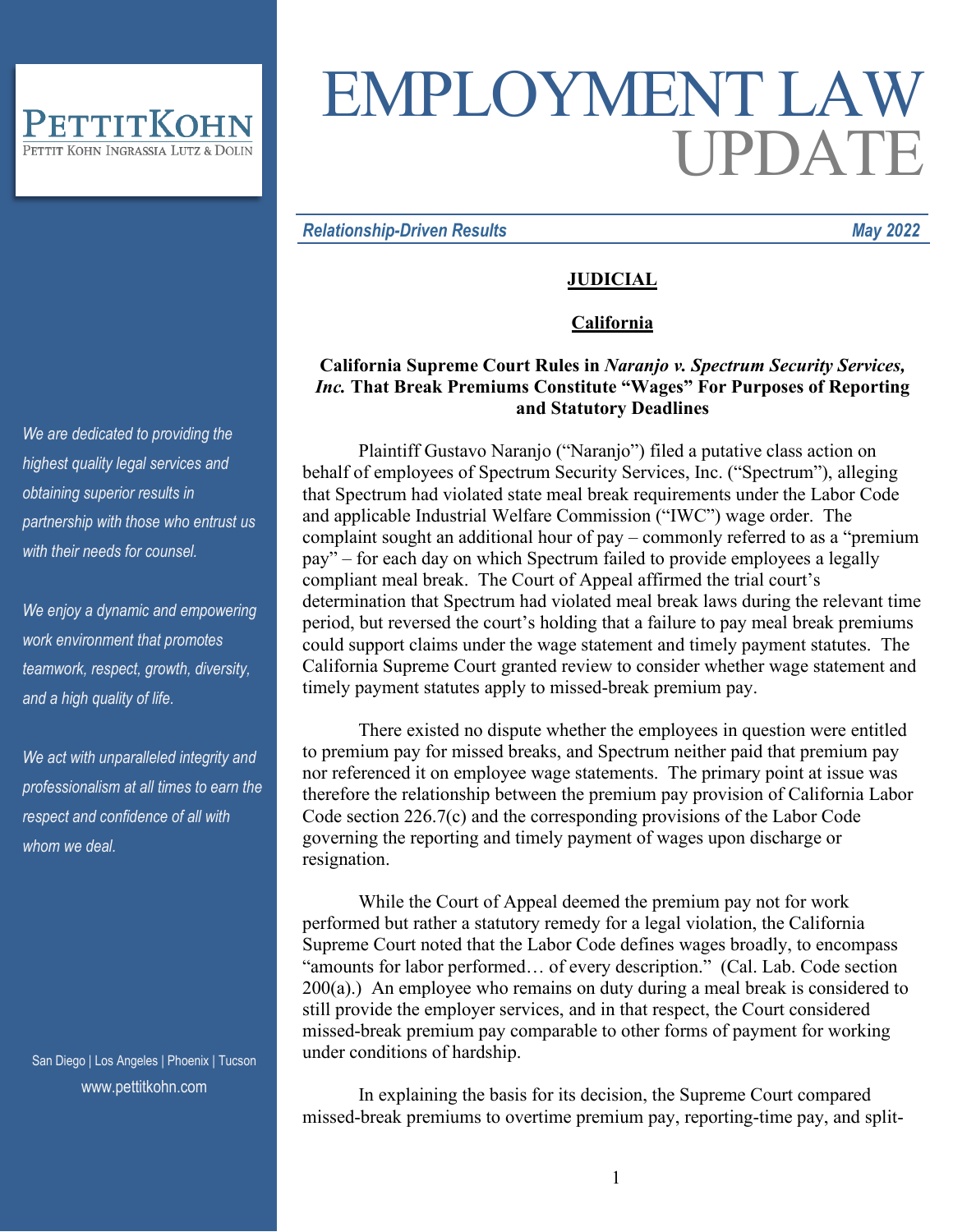

# EMPLOYMENT LAW UPDATE

#### *Relationship-Driven Results May 2022*

## **JUDICIAL**

#### **California**

## **California Supreme Court Rules in** *Naranjo v. Spectrum Security Services, Inc.* **That Break Premiums Constitute "Wages" For Purposes of Reporting and Statutory Deadlines**

Plaintiff Gustavo Naranjo ("Naranjo") filed a putative class action on behalf of employees of Spectrum Security Services, Inc. ("Spectrum"), alleging that Spectrum had violated state meal break requirements under the Labor Code and applicable Industrial Welfare Commission ("IWC") wage order. The complaint sought an additional hour of pay – commonly referred to as a "premium pay" – for each day on which Spectrum failed to provide employees a legally compliant meal break. The Court of Appeal affirmed the trial court's determination that Spectrum had violated meal break laws during the relevant time period, but reversed the court's holding that a failure to pay meal break premiums could support claims under the wage statement and timely payment statutes. The California Supreme Court granted review to consider whether wage statement and timely payment statutes apply to missed-break premium pay.

There existed no dispute whether the employees in question were entitled to premium pay for missed breaks, and Spectrum neither paid that premium pay nor referenced it on employee wage statements. The primary point at issue was therefore the relationship between the premium pay provision of California Labor Code section 226.7(c) and the corresponding provisions of the Labor Code governing the reporting and timely payment of wages upon discharge or resignation.

While the Court of Appeal deemed the premium pay not for work performed but rather a statutory remedy for a legal violation, the California Supreme Court noted that the Labor Code defines wages broadly, to encompass "amounts for labor performed… of every description." (Cal. Lab. Code section  $200(a)$ .) An employee who remains on duty during a meal break is considered to still provide the employer services, and in that respect, the Court considered missed-break premium pay comparable to other forms of payment for working under conditions of hardship.

In explaining the basis for its decision, the Supreme Court compared missed-break premiums to overtime premium pay, reporting-time pay, and split-

*We are dedicated to providing the highest quality legal services and obtaining superior results in partnership with those who entrust us with their needs for counsel.*

*We enjoy a dynamic and empowering work environment that promotes teamwork, respect, growth, diversity, and a high quality of life.*

*We act with unparalleled integrity and professionalism at all times to earn the respect and confidence of all with whom we deal.*

San Diego | Los Angeles | Phoenix | Tucson www.pettitkohn.com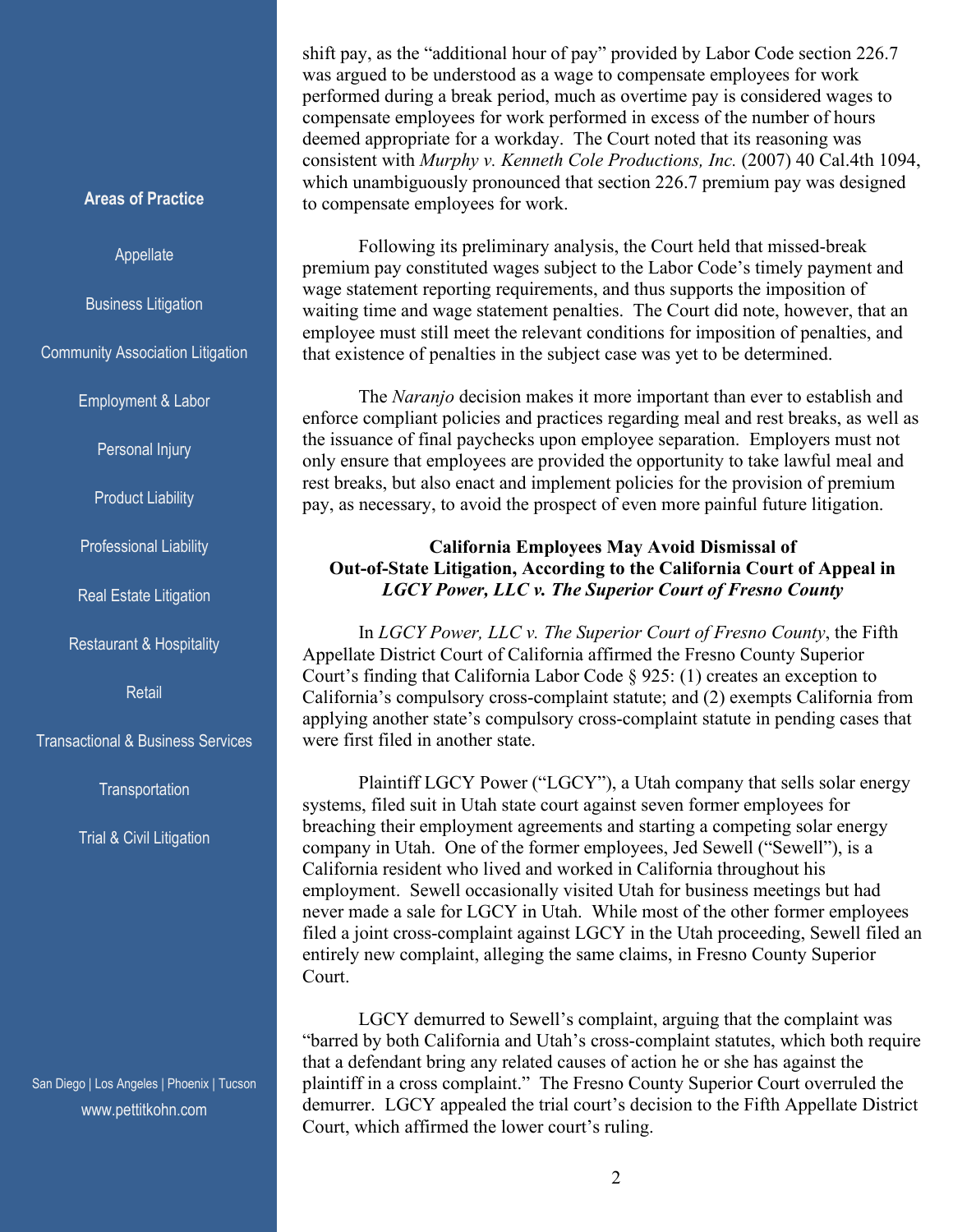shift pay, as the "additional hour of pay" provided by Labor Code section 226.7 was argued to be understood as a wage to compensate employees for work performed during a break period, much as overtime pay is considered wages to compensate employees for work performed in excess of the number of hours deemed appropriate for a workday. The Court noted that its reasoning was consistent with *Murphy v. Kenneth Cole Productions, Inc.* (2007) 40 Cal.4th 1094, which unambiguously pronounced that section 226.7 premium pay was designed to compensate employees for work.

Following its preliminary analysis, the Court held that missed-break premium pay constituted wages subject to the Labor Code's timely payment and wage statement reporting requirements, and thus supports the imposition of waiting time and wage statement penalties. The Court did note, however, that an employee must still meet the relevant conditions for imposition of penalties, and that existence of penalties in the subject case was yet to be determined.

The *Naranjo* decision makes it more important than ever to establish and enforce compliant policies and practices regarding meal and rest breaks, as well as the issuance of final paychecks upon employee separation. Employers must not only ensure that employees are provided the opportunity to take lawful meal and rest breaks, but also enact and implement policies for the provision of premium pay, as necessary, to avoid the prospect of even more painful future litigation.

## **California Employees May Avoid Dismissal of Out-of-State Litigation, According to the California Court of Appeal in** *LGCY Power, LLC v. The Superior Court of Fresno County*

In *LGCY Power, LLC v. The Superior Court of Fresno County*, the Fifth Appellate District Court of California affirmed the Fresno County Superior Court's finding that California Labor Code § 925: (1) creates an exception to California's compulsory cross-complaint statute; and (2) exempts California from applying another state's compulsory cross-complaint statute in pending cases that were first filed in another state.

Plaintiff LGCY Power ("LGCY"), a Utah company that sells solar energy systems, filed suit in Utah state court against seven former employees for breaching their employment agreements and starting a competing solar energy company in Utah. One of the former employees, Jed Sewell ("Sewell"), is a California resident who lived and worked in California throughout his employment. Sewell occasionally visited Utah for business meetings but had never made a sale for LGCY in Utah. While most of the other former employees filed a joint cross-complaint against LGCY in the Utah proceeding, Sewell filed an entirely new complaint, alleging the same claims, in Fresno County Superior Court.

LGCY demurred to Sewell's complaint, arguing that the complaint was "barred by both California and Utah's cross-complaint statutes, which both require that a defendant bring any related causes of action he or she has against the plaintiff in a cross complaint." The Fresno County Superior Court overruled the demurrer. LGCY appealed the trial court's decision to the Fifth Appellate District Court, which affirmed the lower court's ruling.

### **Areas of Practice**

#### Appellate

Business Litigation

Community Association Litigation

Employment & Labor

Personal Injury

Product Liability

Professional Liability

Real Estate Litigation

Restaurant & Hospitality

**Retail** 

Transactional & Business Services

**Transportation** 

Trial & Civil Litigation

San Diego | Los Angeles | Phoenix | Tucson www.pettitkohn.com